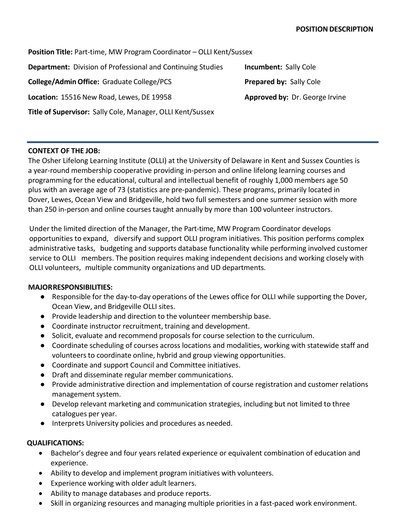**Position Title:** Part-time, MW Program Coordinator – OLLI Kent/Sussex **Department:** Division of Professional and Continuing Studies **Incumbent:** Sally Cole **College/AdminOffice:** Graduate College/PCS **Prepared by:** Sally Cole **Location:** 15516 New Road, Lewes, DE 19958 **Approved by:** Dr. George Irvine **Title of Supervisor:** Sally Cole, Manager, OLLI Kent/Sussex

## **CONTEXT OF THE JOB:**

The Osher Lifelong Learning Institute (OLLI) at the University of Delaware in Kent and Sussex Counties is a year-round membership cooperative providing in-person and online lifelong learning courses and programming for the educational, cultural and intellectual benefit of roughly 1,000 members age 50 plus with an average age of 73 (statistics are pre-pandemic). These programs, primarily located in Dover, Lewes, Ocean View and Bridgeville, hold two full semesters and one summer session with more than 250 in-person and online courses taught annually by more than 100 volunteer instructors.

Under the limited direction of the Manager, the Part-time, MW Program Coordinator develops opportunities to expand, diversify and support OLLI program initiatives. This position performs complex administrative tasks, budgeting and supports database functionality while performing involved customer service to OLLI members. The position requires making independent decisions and working closely with OLLI volunteers, multiple community organizations and UD departments.

## **MAJORRESPONSIBILITIES:**

- Responsible for the day-to-day operations of the Lewes office for OLLI while supporting the Dover, Ocean View, and Bridgeville OLLI sites.
- Provide leadership and direction to the volunteer membership base.
- Coordinate instructor recruitment, training and development.
- Solicit, evaluate and recommend proposals for course selection to the curriculum.
- Coordinate scheduling of courses across locations and modalities, working with statewide staff and volunteers to coordinate online, hybrid and group viewing opportunities.
- Coordinate and support Council and Committee initiatives.
- Draft and disseminate regular member communications.
- Provide administrative direction and implementation of course registration and customer relations management system.
- Develop relevant marketing and communication strategies, including but not limited to three catalogues per year.
- Interprets University policies and procedures as needed.

## **QUALIFICATIONS:**

- Bachelor's degree and four years related experience or equivalent combination of education and experience.
- Ability to develop and implement program initiatives with volunteers.
- Experience working with older adult learners.
- Ability to manage databases and produce reports.
- Skill in organizing resources and managing multiple priorities in a fast-paced work environment.